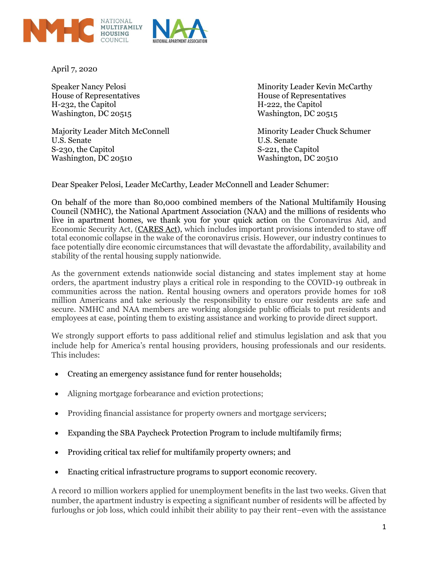



April 7, 2020

House of Representatives House of Representatives H-232, the Capitol H-222, the Capitol Washington, DC 20515 Washington, DC 20515

Majority Leader Mitch McConnell Minority Leader Chuck Schumer U.S. Senate U.S. Senate S-230, the Capitol S-221, the Capitol Washington, DC 20510 Washington, DC 20510

Speaker Nancy Pelosi Minority Leader Kevin McCarthy

Dear Speaker Pelosi, Leader McCarthy, Leader McConnell and Leader Schumer:

On behalf of the more than 80,000 combined members of the National Multifamily Housing Council (NMHC), the National Apartment Association (NAA) and the millions of residents who live in apartment homes, we thank you for your quick action on the Coronavirus Aid, and Economic Security Act, [\(CARES Act\)](https://www.congress.gov/bill/116th-congress/senate-bill/3548/all-actions?overview=closed&KWICView=false), which includes important provisions intended to stave off total economic collapse in the wake of the coronavirus crisis. However, our industry continues to face potentially dire economic circumstances that will devastate the affordability, availability and stability of the rental housing supply nationwide.

As the government extends nationwide social distancing and states implement stay at home orders, the apartment industry plays a critical role in responding to the COVID-19 outbreak in communities across the nation. Rental housing owners and operators provide homes for 108 million Americans and take seriously the responsibility to ensure our residents are safe and secure. NMHC and NAA members are working alongside public officials to put residents and employees at ease, pointing them to existing assistance and working to provide direct support.

We strongly support efforts to pass additional relief and stimulus legislation and ask that you include help for America's rental housing providers, housing professionals and our residents. This includes:

- Creating an emergency assistance fund for renter households;
- Aligning mortgage forbearance and eviction protections;
- Providing financial assistance for property owners and mortgage servicers;
- Expanding the SBA Paycheck Protection Program to include multifamily firms;
- Providing critical tax relief for multifamily property owners; and
- Enacting critical infrastructure programs to support economic recovery.

A record 10 million workers applied for unemployment benefits in the last two weeks. Given that number, the apartment industry is expecting a significant number of residents will be affected by furloughs or job loss, which could inhibit their ability to pay their rent–even with the assistance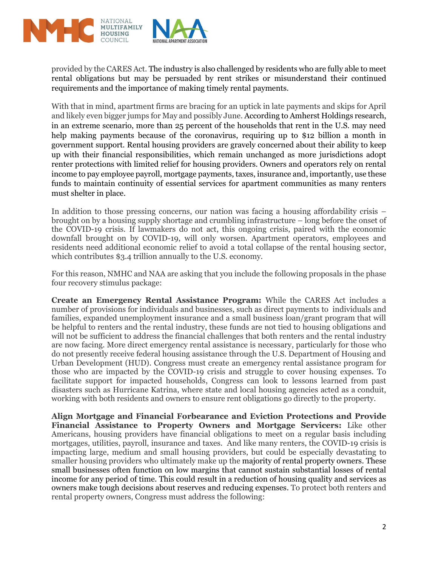

provided by the CARES Act. The industry is also challenged by residents who are fully able to meet rental obligations but may be persuaded by rent strikes or misunderstand their continued requirements and the importance of making timely rental payments.

With that in mind, apartment firms are bracing for an uptick in late payments and skips for April and likely even bigger jumps for May and possibly June. According to Amherst Holdings research, in an extreme scenario, more than 25 percent of the households that rent in the U.S. may need help making payments because of the coronavirus, requiring up to \$12 billion a month in government support. Rental housing providers are gravely concerned about their ability to keep up with their financial responsibilities, which remain unchanged as more jurisdictions adopt renter protections with limited relief for housing providers. Owners and operators rely on rental income to pay employee payroll, mortgage payments, taxes, insurance and, importantly, use these funds to maintain continuity of essential services for apartment communities as many renters must shelter in place.

In addition to those pressing concerns, our nation was facing a housing affordability crisis – brought on by a housing supply shortage and crumbling infrastructure – long before the onset of the COVID-19 crisis. If lawmakers do not act, this ongoing crisis, paired with the economic downfall brought on by COVID-19, will only worsen. Apartment operators, employees and residents need additional economic relief to avoid a total collapse of the rental housing sector, which contributes \$3.4 trillion annually to the U.S. economy.

For this reason, NMHC and NAA are asking that you include the following proposals in the phase four recovery stimulus package:

**Create an Emergency Rental Assistance Program:** While the CARES Act includes a number of provisions for individuals and businesses, such as direct payments to individuals and families, expanded unemployment insurance and a small business loan/grant program that will be helpful to renters and the rental industry, these funds are not tied to housing obligations and will not be sufficient to address the financial challenges that both renters and the rental industry are now facing. More direct emergency rental assistance is necessary, particularly for those who do not presently receive federal housing assistance through the U.S. Department of Housing and Urban Development (HUD). Congress must create an emergency rental assistance program for those who are impacted by the COVID-19 crisis and struggle to cover housing expenses. To facilitate support for impacted households, Congress can look to lessons learned from past disasters such as Hurricane Katrina, where state and local housing agencies acted as a conduit, working with both residents and owners to ensure rent obligations go directly to the property.

**Align Mortgage and Financial Forbearance and Eviction Protections and Provide Financial Assistance to Property Owners and Mortgage Servicers:** Like other Americans, housing providers have financial obligations to meet on a regular basis including mortgages, utilities, payroll, insurance and taxes. And like many renters, the COVID-19 crisis is impacting large, medium and small housing providers, but could be especially devastating to smaller housing providers who ultimately make up the majority of rental property owners. These small businesses often function on low margins that cannot sustain substantial losses of rental income for any period of time. This could result in a reduction of housing quality and services as owners make tough decisions about reserves and reducing expenses. To protect both renters and rental property owners, Congress must address the following: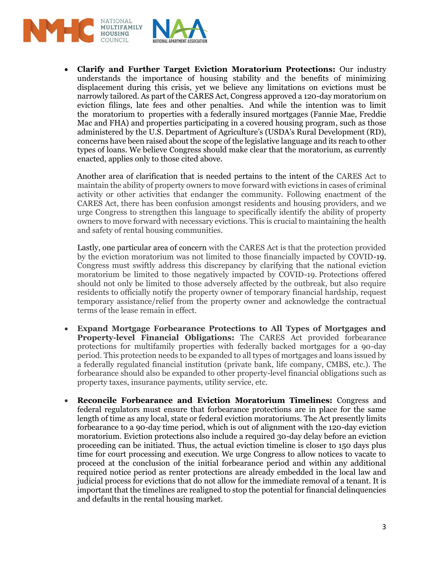

• **Clarify and Further Target Eviction Moratorium Protections:** Our industry understands the importance of housing stability and the benefits of minimizing displacement during this crisis, yet we believe any limitations on evictions must be narrowly tailored. As part of the CARES Act, Congress approved a 120-day moratorium on eviction filings, late fees and other penalties. And while the intention was to limit the moratorium to properties with a federally insured mortgages (Fannie Mae, Freddie Mac and FHA) and properties participating in a covered housing program, such as those administered by the U.S. Department of Agriculture's (USDA's Rural Development (RD), concerns have been raised about the scope of the legislative language and its reach to other types of loans. We believe Congress should make clear that the moratorium, as currently enacted, applies only to those cited above.

Another area of clarification that is needed pertains to the intent of the CARES Act to maintain the ability of property owners to move forward with evictions in cases of criminal activity or other activities that endanger the community. Following enactment of the CARES Act, there has been confusion amongst residents and housing providers, and we urge Congress to strengthen this language to specifically identify the ability of property owners to move forward with necessary evictions. This is crucial to maintaining the health and safety of rental housing communities.

Lastly, one particular area of concern with the CARES Act is that the protection provided by the eviction moratorium was not limited to those financially impacted by COVID-19. Congress must swiftly address this discrepancy by clarifying that the national eviction moratorium be limited to those negatively impacted by COVID-19. Protections offered should not only be limited to those adversely affected by the outbreak, but also require residents to officially notify the property owner of temporary financial hardship, request temporary assistance/relief from the property owner and acknowledge the contractual terms of the lease remain in effect.

- **Expand Mortgage Forbearance Protections to All Types of Mortgages and Property-level Financial Obligations:** The CARES Act provided forbearance protections for multifamily properties with federally backed mortgages for a 90-day period. This protection needs to be expanded to all types of mortgages and loans issued by a federally regulated financial institution (private bank, life company, CMBS, etc.). The forbearance should also be expanded to other property-level financial obligations such as property taxes, insurance payments, utility service, etc.
- **Reconcile Forbearance and Eviction Moratorium Timelines:** Congress and federal regulators must ensure that forbearance protections are in place for the same length of time as any local, state or federal eviction moratoriums. The Act presently limits forbearance to a 90-day time period, which is out of alignment with the 120-day eviction moratorium. Eviction protections also include a required 30-day delay before an eviction proceeding can be initiated. Thus, the actual eviction timeline is closer to 150 days plus time for court processing and execution. We urge Congress to allow notices to vacate to proceed at the conclusion of the initial forbearance period and within any additional required notice period as renter protections are already embedded in the local law and judicial process for evictions that do not allow for the immediate removal of a tenant. It is important that the timelines are realigned to stop the potential for financial delinquencies and defaults in the rental housing market.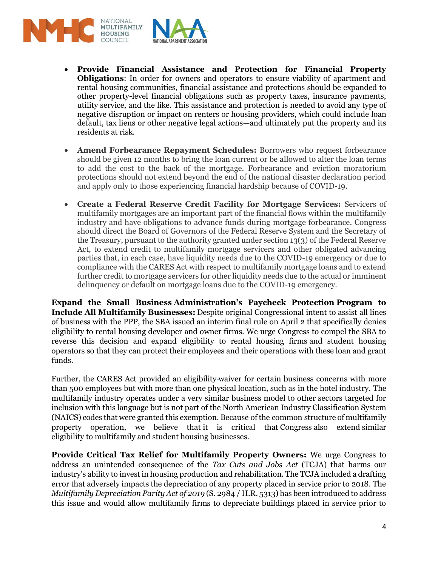



- **Provide Financial Assistance and Protection for Financial Property Obligations**: In order for owners and operators to ensure viability of apartment and rental housing communities, financial assistance and protections should be expanded to other property-level financial obligations such as property taxes, insurance payments, utility service, and the like. This assistance and protection is needed to avoid any type of negative disruption or impact on renters or housing providers, which could include loan default, tax liens or other negative legal actions—and ultimately put the property and its residents at risk.
- **Amend Forbearance Repayment Schedules:** Borrowers who request forbearance should be given 12 months to bring the loan current or be allowed to alter the loan terms to add the cost to the back of the mortgage. Forbearance and eviction moratorium protections should not extend beyond the end of the national disaster declaration period and apply only to those experiencing financial hardship because of COVID-19.
- **Create a Federal Reserve Credit Facility for Mortgage Services:** Servicers of multifamily mortgages are an important part of the financial flows within the multifamily industry and have obligations to advance funds during mortgage forbearance. Congress should direct the Board of Governors of the Federal Reserve System and the Secretary of the Treasury, pursuant to the authority granted under section 13(3) of the Federal Reserve Act, to extend credit to multifamily mortgage servicers and other obligated advancing parties that, in each case, have liquidity needs due to the COVID-19 emergency or due to compliance with the CARES Act with respect to multifamily mortgage loans and to extend further credit to mortgage servicers for other liquidity needs due to the actual or imminent delinquency or default on mortgage loans due to the COVID-19 emergency.

**Expand the Small Business Administration's Paycheck Protection Program to Include All Multifamily Businesses:** Despite original Congressional intent to assist all lines of business with the PPP, the SBA issued an interim final rule on April 2 that specifically denies eligibility to rental housing developer and owner firms. We urge Congress to compel the SBA to reverse this decision and expand eligibility to rental housing firms and student housing operators so that they can protect their employees and their operations with these loan and grant funds.

Further, the CARES Act provided an eligibility waiver for certain business concerns with more than 500 employees but with more than one physical location, such as in the hotel industry. The multifamily industry operates under a very similar business model to other sectors targeted for inclusion with this language but is not part of the North American Industry Classification System (NAICS) codes that were granted this exemption. Because of the common structure of multifamily property operation, we believe that it is critical that Congress also extend similar eligibility to multifamily and student housing businesses.

**Provide Critical Tax Relief for Multifamily Property Owners:** We urge Congress to address an unintended consequence of the *Tax Cuts and Jobs Act* (TCJA) that harms our industry's ability to invest in housing production and rehabilitation. The TCJA included a drafting error that adversely impacts the depreciation of any property placed in service prior to 2018. The *Multifamily Depreciation Parity Act of 2019* (S. 2984 / H.R. 5313) has been introduced to address this issue and would allow multifamily firms to depreciate buildings placed in service prior to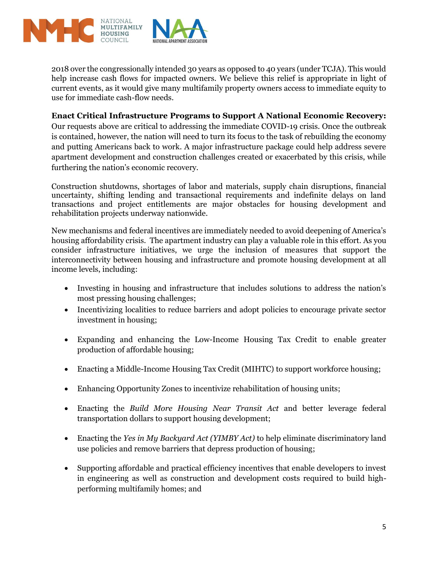

2018 over the congressionally intended 30 years as opposed to 40 years (under TCJA). This would help increase cash flows for impacted owners. We believe this relief is appropriate in light of current events, as it would give many multifamily property owners access to immediate equity to use for immediate cash-flow needs.

## **Enact Critical Infrastructure Programs to Support A National Economic Recovery:**

Our requests above are critical to addressing the immediate COVID-19 crisis. Once the outbreak is contained, however, the nation will need to turn its focus to the task of rebuilding the economy and putting Americans back to work. A major infrastructure package could help address severe apartment development and construction challenges created or exacerbated by this crisis, while furthering the nation's economic recovery.

Construction shutdowns, shortages of labor and materials, supply chain disruptions, financial uncertainty, shifting lending and transactional requirements and indefinite delays on land transactions and project entitlements are major obstacles for housing development and rehabilitation projects underway nationwide.

New mechanisms and federal incentives are immediately needed to avoid deepening of America's housing affordability crisis. The apartment industry can play a valuable role in this effort. As you consider infrastructure initiatives, we urge the inclusion of measures that support the interconnectivity between housing and infrastructure and promote housing development at all income levels, including:

- Investing in housing and infrastructure that includes solutions to address the nation's most pressing housing challenges;
- Incentivizing localities to reduce barriers and adopt policies to encourage private sector investment in housing;
- Expanding and enhancing the Low-Income Housing Tax Credit to enable greater production of affordable housing;
- Enacting a Middle-Income Housing Tax Credit (MIHTC) to support workforce housing;
- Enhancing Opportunity Zones to incentivize rehabilitation of housing units;
- Enacting the *Build More Housing Near Transit Act* and better leverage federal transportation dollars to support housing development;
- Enacting the *Yes in My Backyard Act (YIMBY Act)* to help eliminate discriminatory land use policies and remove barriers that depress production of housing;
- Supporting affordable and practical efficiency incentives that enable developers to invest in engineering as well as construction and development costs required to build highperforming multifamily homes; and